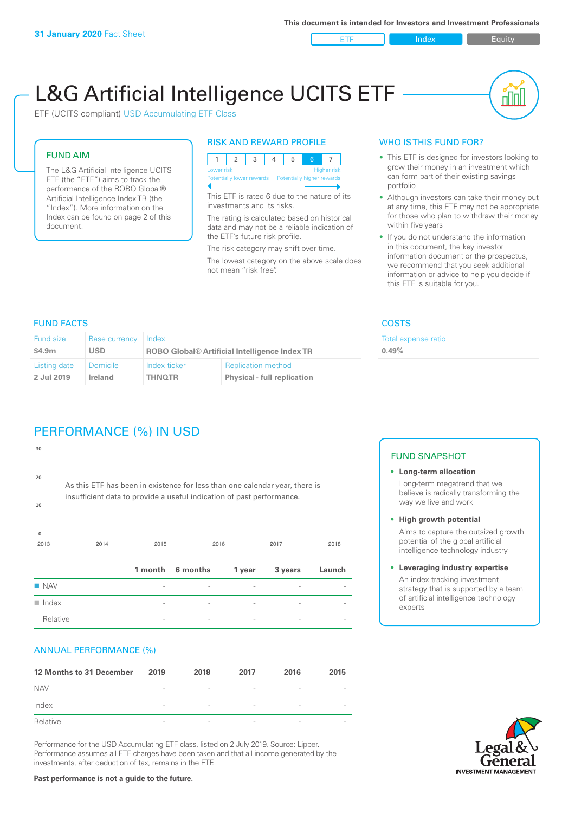ETF Index Requity

ul III

# L&G Artificial Intelligence UCITS ETF

ETF (UCITS compliant) USD Accumulating ETF Class

#### FUND AIM

The L&G Artificial Intelligence UCITS ETF (the "ETF") aims to track the performance of the ROBO Global® Artificial Intelligence Index TR (the "Index"). More information on the Index can be found on page 2 of this document.

#### RISK AND REWARD PROFILE



This ETF is rated 6 due to the nature of its investments and its risks.

The rating is calculated based on historical data and may not be a reliable indication of the ETF's future risk profile.

The risk category may shift over time. The lowest category on the above scale does not mean "risk free".

#### WHO IS THIS FUND FOR?

- This ETF is designed for investors looking to grow their money in an investment which can form part of their existing savings portfolio
- Although investors can take their money out at any time, this ETF may not be appropriate for those who plan to withdraw their money within five years
- If you do not understand the information in this document, the key investor information document or the prospectus, we recommend that you seek additional information or advice to help you decide if this ETF is suitable for you.

**0.49%**

Total expense ratio

FUND FACTS COSTS

| Fund size    | <b>Base currency</b> | Index                                                |                                    |  |
|--------------|----------------------|------------------------------------------------------|------------------------------------|--|
| \$4.9m       | <b>USD</b>           | <b>ROBO Global® Artificial Intelligence Index TR</b> |                                    |  |
| Listing date | <b>Domicile</b>      | Index ticker                                         | <b>Replication method</b>          |  |
| 2 Jul 2019   | Ireland              | <b>THNOTR</b>                                        | <b>Physical - full replication</b> |  |

# PERFORMANCE (%) IN USD

| 30                                                                                                                                                               |      |                          |          |        |         |        |  |
|------------------------------------------------------------------------------------------------------------------------------------------------------------------|------|--------------------------|----------|--------|---------|--------|--|
| 20<br>As this ETF has been in existence for less than one calendar year, there is<br>insufficient data to provide a useful indication of past performance.<br>10 |      |                          |          |        |         |        |  |
| $\mathbf{0}$<br>2013                                                                                                                                             | 2014 | 2015                     |          | 2016   | 2017    | 2018   |  |
|                                                                                                                                                                  |      | 1 month                  | 6 months | 1 year | 3 years | Launch |  |
| <b>NAV</b>                                                                                                                                                       |      |                          |          |        |         |        |  |
| $\blacksquare$ Index                                                                                                                                             |      | $\overline{\phantom{0}}$ |          |        |         |        |  |
| Relative                                                                                                                                                         |      |                          |          |        |         |        |  |

#### ANNUAL PERFORMANCE (%)

| 12 Months to 31 December | 2019                     | 2018                     | 2017                     | 2016                     | 2015                     |
|--------------------------|--------------------------|--------------------------|--------------------------|--------------------------|--------------------------|
| <b>NAV</b>               | $\overline{\phantom{a}}$ | $\overline{\phantom{a}}$ | $\overline{\phantom{a}}$ | $\overline{\phantom{a}}$ | $\overline{\phantom{0}}$ |
| Index                    | $\overline{\phantom{a}}$ | $\overline{\phantom{a}}$ | $\qquad \qquad$          | $\qquad \qquad$          | $\overline{\phantom{a}}$ |
| Relative                 | $\sim$                   | $\overline{\phantom{a}}$ | $\overline{\phantom{a}}$ | $\sim$                   | $\overline{\phantom{a}}$ |

Performance for the USD Accumulating ETF class, listed on 2 July 2019. Source: Lipper. Performance assumes all ETF charges have been taken and that all income generated by the investments, after deduction of tax, remains in the ETF.

#### FUND SNAPSHOT

- **• Long-term allocation** Long-term megatrend that we believe is radically transforming the way we live and work
- **• High growth potential** Aims to capture the outsized growth potential of the global artificial intelligence technology industry
- **• Leveraging industry expertise** An index tracking investment strategy that is supported by a team of artificial intelligence technology experts



**Past performance is not a guide to the future.**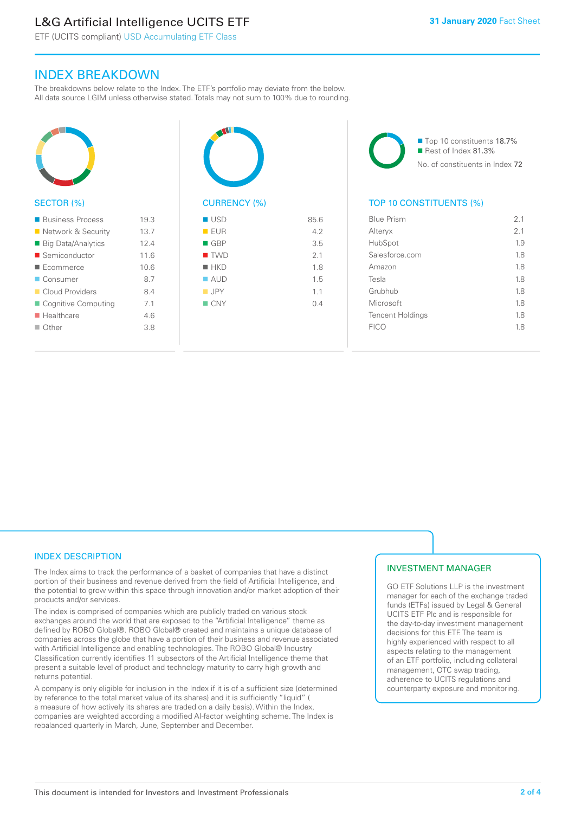## L&G Artificial Intelligence UCITS ETF

ETF (UCITS compliant) USD Accumulating ETF Class

### INDEX BREAKDOWN

The breakdowns below relate to the Index. The ETF's portfolio may deviate from the below. All data source LGIM unless otherwise stated. Totals may not sum to 100% due to rounding.



#### ■ Business Process 19.3 ■ Network & Security 13.7 ■ Big Data/Analytics 12.4 ■ Semiconductor 11.6 n Ecommerce 10.6 ■ Consumer 8.7 ■ Cloud Providers 8.4 ■ Cognitive Computing 7.1 ■ Healthcare 4.6 n Other 3.8



| ■ USD              | 85.6 |
|--------------------|------|
| EUR                | 4.2  |
| $\blacksquare$ GBP | 3.5  |
| $\blacksquare$ TWD | 2.1  |
| $H$ HKD            | 1.8  |
| $\blacksquare$ AUD | 1.5  |
| $\blacksquare$ JPY | 1.1  |
| $\blacksquare$ CNY | 0.4  |
|                    |      |
|                    |      |

■ Top 10 constituents 18.7% Rest of Index 81.3% No. of constituents in Index 72

#### TOP 10 CONSTITUENTS (%)

| <b>Blue Prism</b>       | 2.1            |
|-------------------------|----------------|
| Alteryx                 | 2 <sub>1</sub> |
| HubSpot                 | 1.9            |
| Salesforce.com          | 1.8            |
| Amazon                  | 1.8            |
| Tesla                   | 1.8            |
| Grubhub                 | 1.8            |
| Microsoft               | 1.8            |
| <b>Tencent Holdings</b> | 1.8            |
| <b>FICO</b>             | 1.8            |
|                         |                |

#### INDEX DESCRIPTION

The Index aims to track the performance of a basket of companies that have a distinct portion of their business and revenue derived from the field of Artificial Intelligence, and the potential to grow within this space through innovation and/or market adoption of their products and/or services.

The index is comprised of companies which are publicly traded on various stock exchanges around the world that are exposed to the "Artificial Intelligence" theme as defined by ROBO Global®. ROBO Global® created and maintains a unique database of companies across the globe that have a portion of their business and revenue associated with Artificial Intelligence and enabling technologies. The ROBO Global® Industry Classification currently identifies 11 subsectors of the Artificial Intelligence theme that present a suitable level of product and technology maturity to carry high growth and returns potential.

A company is only eligible for inclusion in the Index if it is of a sufficient size (determined by reference to the total market value of its shares) and it is sufficiently "liquid" ( a measure of how actively its shares are traded on a daily basis). Within the Index, companies are weighted according a modified AI-factor weighting scheme. The Index is rebalanced quarterly in March, June, September and December.

#### INVESTMENT MANAGER

GO ETF Solutions LLP is the investment manager for each of the exchange traded funds (ETFs) issued by Legal & General UCITS ETF Plc and is responsible for the day-to-day investment management decisions for this ETF. The team is highly experienced with respect to all aspects relating to the management of an ETF portfolio, including collateral management, OTC swap trading, adherence to UCITS regulations and counterparty exposure and monitoring.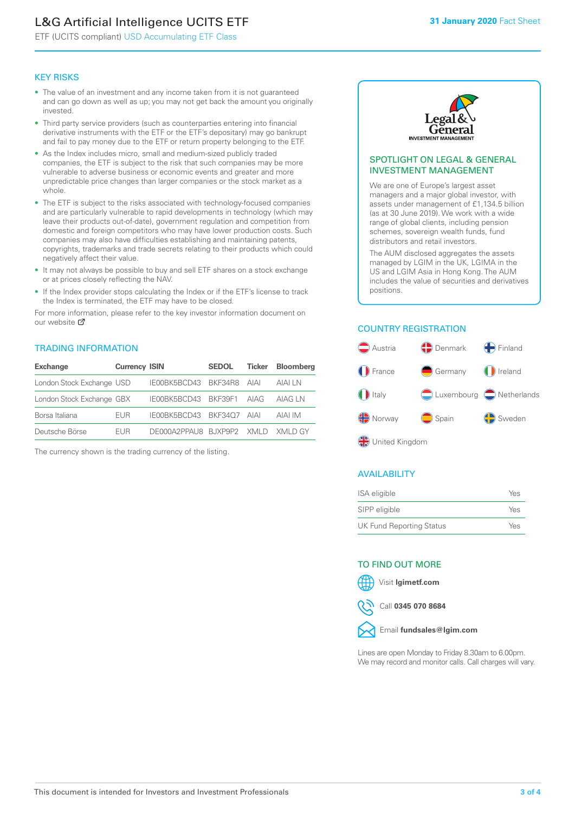# L&G Artificial Intelligence UCITS ETF

ETF (UCITS compliant) USD Accumulating ETF Class

#### KEY RISKS

- The value of an investment and any income taken from it is not guaranteed and can go down as well as up; you may not get back the amount you originally invested.
- Third party service providers (such as counterparties entering into financial derivative instruments with the ETF or the ETF's depositary) may go bankrupt and fail to pay money due to the ETF or return property belonging to the ETF.
- As the Index includes micro, small and medium-sized publicly traded companies, the ETF is subject to the risk that such companies may be more vulnerable to adverse business or economic events and greater and more unpredictable price changes than larger companies or the stock market as a whole.
- The ETF is subject to the risks associated with technology-focused companies and are particularly vulnerable to rapid developments in technology (which may leave their products out-of-date), government regulation and competition from domestic and foreign competitors who may have lower production costs. Such companies may also have difficulties establishing and maintaining patents, copyrights, trademarks and trade secrets relating to their products which could negatively affect their value.
- It may not always be possible to buy and sell ETF shares on a stock exchange or at prices closely reflecting the NAV.
- If the Index provider stops calculating the Index or if the ETF's license to track the Index is terminated, the ETF may have to be closed.

For more information, please refer to the key investor information document on our website Ø

#### TRADING INFORMATION

| <b>Exchange</b>           | <b>Currency ISIN</b> |                                   | <b>SEDOL</b> | Ticker | <b>Bloomberg</b> |
|---------------------------|----------------------|-----------------------------------|--------------|--------|------------------|
| London Stock Exchange USD |                      | IE00BK5BCD43 BKF34R8 AIAI         |              |        | AIAI I N         |
| London Stock Exchange GBX |                      | IE00BK5BCD43 BKF39F1 AIAG         |              |        | AIAG I N         |
| Borsa Italiana            | <b>FUR</b>           | IE00BK5BCD43 BKF34O7 AIAI         |              |        | AIAI IM          |
| Deutsche Börse            | <b>FUR</b>           | DE000A2PPAU8 BJXP9P2 XMLD XMLD GY |              |        |                  |

The currency shown is the trading currency of the listing.



#### SPOTLIGHT ON LEGAL & GENERAL INVESTMENT MANAGEMENT

We are one of Europe's largest asset managers and a major global investor, with assets under management of £1,134.5 billion (as at 30 June 2019). We work with a wide range of global clients, including pension schemes, sovereign wealth funds, fund distributors and retail investors.

The AUM disclosed aggregates the assets managed by LGIM in the UK, LGIMA in the US and LGIM Asia in Hong Kong. The AUM includes the value of securities and derivatives positions.

#### COUNTRY REGISTRATION



#### AVAILABILITY

| ISA eligible                    | Yes |
|---------------------------------|-----|
| SIPP eligible                   | Yes |
| <b>UK Fund Reporting Status</b> | Yes |

#### TO FIND OUT MORE

Visit **lgimetf.com**



Call **0345 070 8684**



Lines are open Monday to Friday 8.30am to 6.00pm. We may record and monitor calls. Call charges will vary.